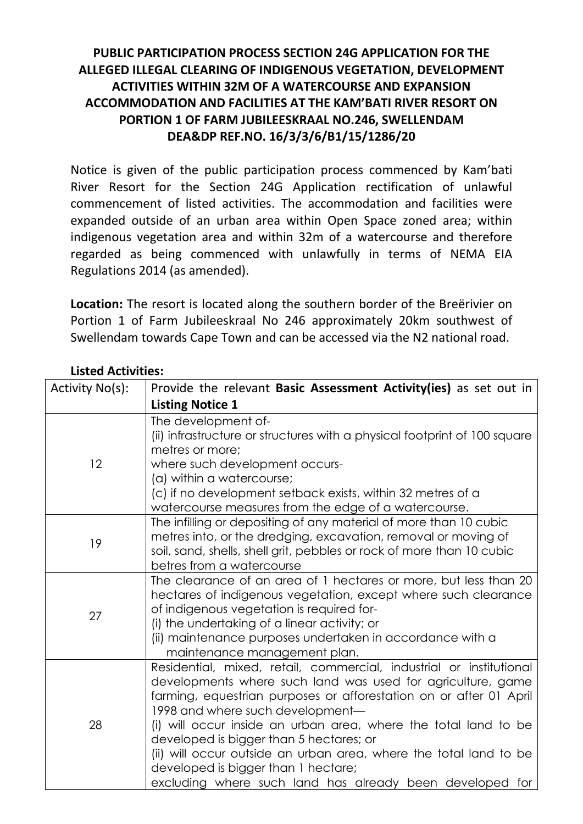## **PUBLIC PARTICIPATION PROCESS SECTION 24G APPLICATION FOR THE ALLEGED ILLEGAL CLEARING OF INDIGENOUS VEGETATION, DEVELOPMENT ACTIVITIES WITHIN 32M OF A WATERCOURSE AND EXPANSION ACCOMMODATION AND FACILITIES AT THE KAM'BATI RIVER RESORT ON PORTION 1 OF FARM JUBILEESKRAAL NO.246, SWELLENDAM DEA&DP REF.NO. 16/3/3/6/B1/15/1286/20**

Notice is given of the public participation process commenced by Kam'bati River Resort for the Section 24G Application rectification of unlawful commencement of listed activities. The accommodation and facilities were expanded outside of an urban area within Open Space zoned area; within indigenous vegetation area and within 32m of a watercourse and therefore regarded as being commenced with unlawfully in terms of NEMA EIA Regulations 2014 (as amended).

**Location:** The resort is located along the southern border of the Breërivier on Portion 1 of Farm Jubileeskraal No 246 approximately 20km southwest of Swellendam towards Cape Town and can be accessed via the N2 national road.

| Activity No(s): | Provide the relevant Basic Assessment Activity(ies) as set out in                                                                                                                                                                                                                                                                                                                                                                                                                                                                  |
|-----------------|------------------------------------------------------------------------------------------------------------------------------------------------------------------------------------------------------------------------------------------------------------------------------------------------------------------------------------------------------------------------------------------------------------------------------------------------------------------------------------------------------------------------------------|
|                 | <b>Listing Notice 1</b>                                                                                                                                                                                                                                                                                                                                                                                                                                                                                                            |
| 12              | The development of-<br>(ii) infrastructure or structures with a physical footprint of 100 square<br>metres or more;                                                                                                                                                                                                                                                                                                                                                                                                                |
|                 | where such development occurs-<br>(a) within a watercourse;<br>(c) if no development setback exists, within 32 metres of a<br>watercourse measures from the edge of a watercourse.                                                                                                                                                                                                                                                                                                                                                 |
| 19              | The infilling or depositing of any material of more than 10 cubic<br>metres into, or the dredging, excavation, removal or moving of<br>soil, sand, shells, shell grit, pebbles or rock of more than 10 cubic<br>betres from a watercourse                                                                                                                                                                                                                                                                                          |
| 27              | The clearance of an area of 1 hectares or more, but less than 20<br>hectares of indigenous vegetation, except where such clearance<br>of indigenous vegetation is required for-<br>(i) the undertaking of a linear activity; or<br>(ii) maintenance purposes undertaken in accordance with a<br>maintenance management plan.                                                                                                                                                                                                       |
| 28              | Residential, mixed, retail, commercial, industrial or institutional<br>developments where such land was used for agriculture, game<br>farming, equestrian purposes or afforestation on or after 01 April<br>1998 and where such development-<br>(i) will occur inside an urban area, where the total land to be<br>developed is bigger than 5 hectares; or<br>(ii) will occur outside an urban area, where the total land to be<br>developed is bigger than 1 hectare;<br>excluding where such land has already been developed for |

## **Listed Activities:**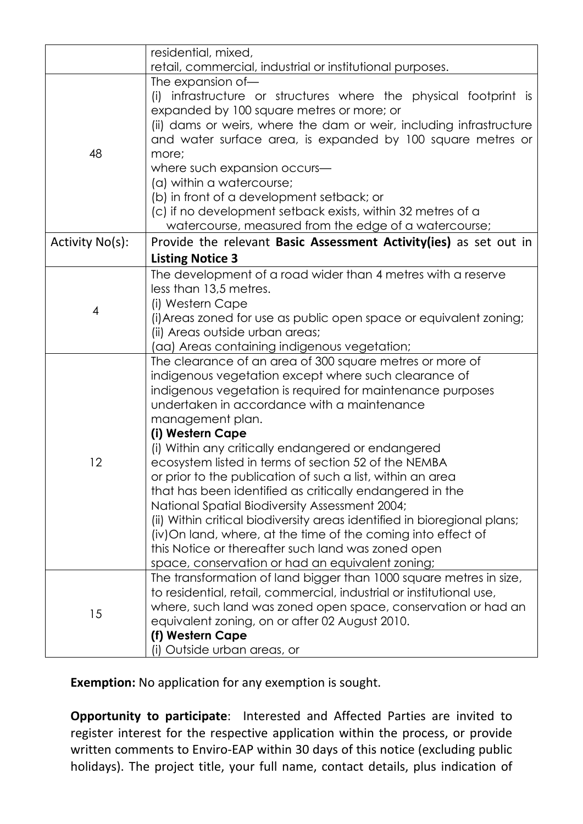|                 | residential, mixed,                                                                                                                                                                                                                                                                                                                                                                                                                                                                                                                                                                                                                                                                                                                                                                                                    |
|-----------------|------------------------------------------------------------------------------------------------------------------------------------------------------------------------------------------------------------------------------------------------------------------------------------------------------------------------------------------------------------------------------------------------------------------------------------------------------------------------------------------------------------------------------------------------------------------------------------------------------------------------------------------------------------------------------------------------------------------------------------------------------------------------------------------------------------------------|
|                 | retail, commercial, industrial or institutional purposes.                                                                                                                                                                                                                                                                                                                                                                                                                                                                                                                                                                                                                                                                                                                                                              |
| 48              | The expansion of-<br>infrastructure or structures where the physical footprint is<br>(i)<br>expanded by 100 square metres or more; or<br>(ii) dams or weirs, where the dam or weir, including infrastructure<br>and water surface area, is expanded by 100 square metres or<br>more;<br>where such expansion occurs-<br>(a) within a watercourse;<br>(b) in front of a development setback; or<br>(c) if no development setback exists, within 32 metres of a<br>watercourse, measured from the edge of a watercourse;                                                                                                                                                                                                                                                                                                 |
| Activity No(s): | Provide the relevant Basic Assessment Activity(ies) as set out in                                                                                                                                                                                                                                                                                                                                                                                                                                                                                                                                                                                                                                                                                                                                                      |
|                 | <b>Listing Notice 3</b>                                                                                                                                                                                                                                                                                                                                                                                                                                                                                                                                                                                                                                                                                                                                                                                                |
| 4               | The development of a road wider than 4 metres with a reserve<br>less than 13,5 metres.<br>(i) Western Cape<br>(i) Areas zoned for use as public open space or equivalent zoning;<br>(ii) Areas outside urban areas;<br>(aa) Areas containing indigenous vegetation;                                                                                                                                                                                                                                                                                                                                                                                                                                                                                                                                                    |
| 12              | The clearance of an area of 300 square metres or more of<br>indigenous vegetation except where such clearance of<br>indigenous vegetation is required for maintenance purposes<br>undertaken in accordance with a maintenance<br>management plan.<br>(i) Western Cape<br>(i) Within any critically endangered or endangered<br>ecosystem listed in terms of section 52 of the NEMBA<br>or prior to the publication of such a list, within an area<br>that has been identified as critically endangered in the<br>National Spatial Biodiversity Assessment 2004;<br>(ii) Within critical biodiversity areas identified in bioregional plans;<br>(iv) On land, where, at the time of the coming into effect of<br>this Notice or thereafter such land was zoned open<br>space, conservation or had an equivalent zoning; |
| 15              | The transformation of land bigger than 1000 square metres in size,<br>to residential, retail, commercial, industrial or institutional use,<br>where, such land was zoned open space, conservation or had an<br>equivalent zoning, on or after 02 August 2010.<br>(f) Western Cape<br>(i) Outside urban areas, or                                                                                                                                                                                                                                                                                                                                                                                                                                                                                                       |

**Exemption:** No application for any exemption is sought.

**Opportunity to participate**: Interested and Affected Parties are invited to register interest for the respective application within the process, or provide written comments to Enviro-EAP within 30 days of this notice (excluding public holidays). The project title, your full name, contact details, plus indication of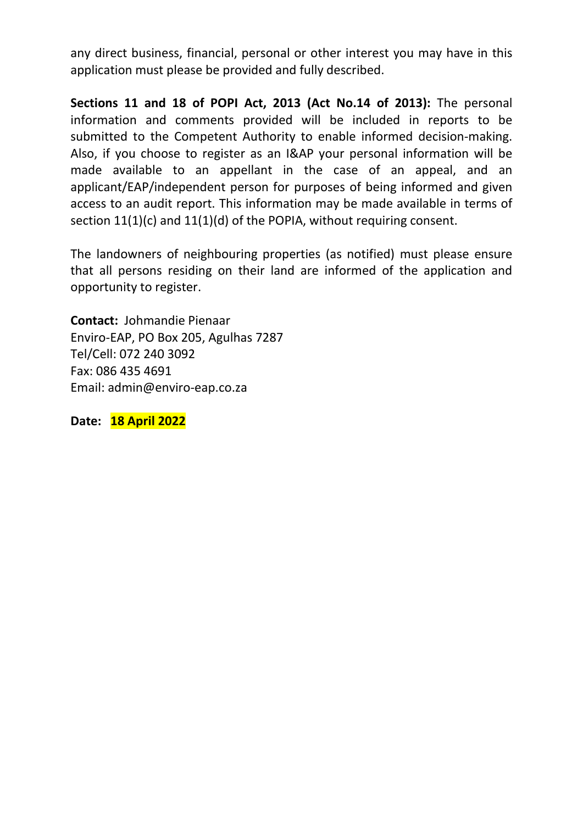any direct business, financial, personal or other interest you may have in this application must please be provided and fully described.

**Sections 11 and 18 of POPI Act, 2013 (Act No.14 of 2013):** The personal information and comments provided will be included in reports to be submitted to the Competent Authority to enable informed decision-making. Also, if you choose to register as an I&AP your personal information will be made available to an appellant in the case of an appeal, and an applicant/EAP/independent person for purposes of being informed and given access to an audit report. This information may be made available in terms of section 11(1)(c) and 11(1)(d) of the POPIA, without requiring consent.

The landowners of neighbouring properties (as notified) must please ensure that all persons residing on their land are informed of the application and opportunity to register.

**Contact:** Johmandie Pienaar Enviro-EAP, PO Box 205, Agulhas 7287 Tel/Cell: 072 240 3092 Fax: 086 435 4691 Email: admin@enviro-eap.co.za

**Date: 18 April 2022**